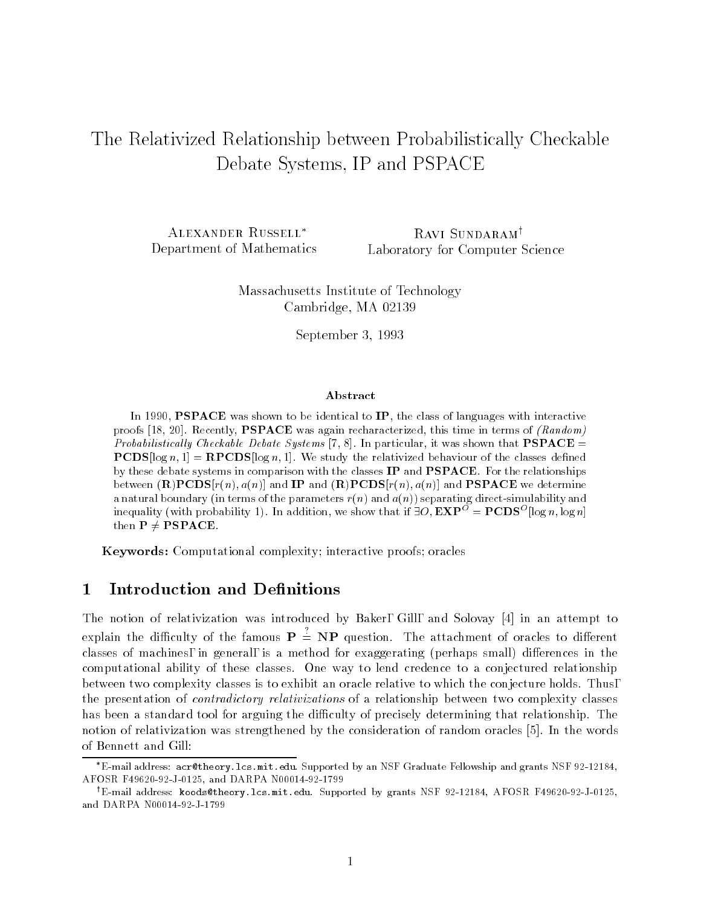# The Relativized Relationship between Probabilistically Checkable Debate Systems, IP and PSPACE

Alexander Russell Department of Mathematics

RAVI SUNDARAM<sup>†</sup> Laboratory for Computer Science

Massachusetts Institute of Technology Cambridge, MA 02139

September 3, 1993

#### Abstract

In 1990, **PSPACE** was shown to be identical to  $\mathbf{IP}$ , the class of languages with interactive proofs [18, 20]. Recently, **PSPACE** was again recharacterized, this time in terms of *(Random)* Probabilistically Checkable Debate Systems [7, 8]. In particular, it was shown that  $PSPACE =$ **PCDS**[ $\log n, 1$ ] = **RPCDS**[ $\log n, 1$ ]. We study the relativized behaviour of the classes defined by these debate systems in comparison with the classes  $IP$  and  $PSPACE$ . For the relationships between  $(\mathbf{R})\mathbf{PCDS}[r(n), a(n)]$  and  $\mathbf{IP}$  and  $(\mathbf{R})\mathbf{PCDS}[r(n), a(n)]$  and  $\mathbf{PSPACE}$  we determine a natural boundary (in terms of the parameters  $r(n)$  and a(n))) separating direct-simulability and inequality (with probability 1). In addition, we show that if  $\exists O$ ,  $\mathbf{EXP}^{\mathcal{O}} = \mathbf{PCDS}^{\mathcal{O}}[\log n, \log n]$ then  $\mathbf{P} \neq \mathbf{PSPACE}$ .

Keywords: Computational complexity; interactive proofs; oracles

#### $\mathbf 1$ Introduction and Definitions

The notion of relativization was introduced by Baker, Gill, and Solovay [4] in an attempt to explain the difficulty of the famous  $P \stackrel{?}{=} NP$  question. The attachment of oracles to different classes of machines, in general, is a method for exaggerating (perhaps small) differences in the computational ability of these classes. One way to lend credence to a conjectured relationship between two complexity classes is to exhibit an oracle relative to which the conjecture holds. Thus, the presentation of contradictory relativizations of a relationship between two complexity classes has been a standard tool for arguing the difficulty of precisely determining that relationship. The notion of relativization was strengthened by the consideration of random oracles [5]. In the words of Bennett and Gill:

E-mail address: acr@theory.lcs.mit.edu. Supported by an NSF Graduate Fellowship and grants NSF 92-12184, AFOSR F49620-92-J-0125, and DARPA N00014-92-1799

<sup>&</sup>lt;sup>†</sup>E-mail address: koods@theory.lcs.mit.edu. Supported by grants NSF 92-12184, AFOSR F49620-92-J-0125, and DARPA N00014-92-J-1799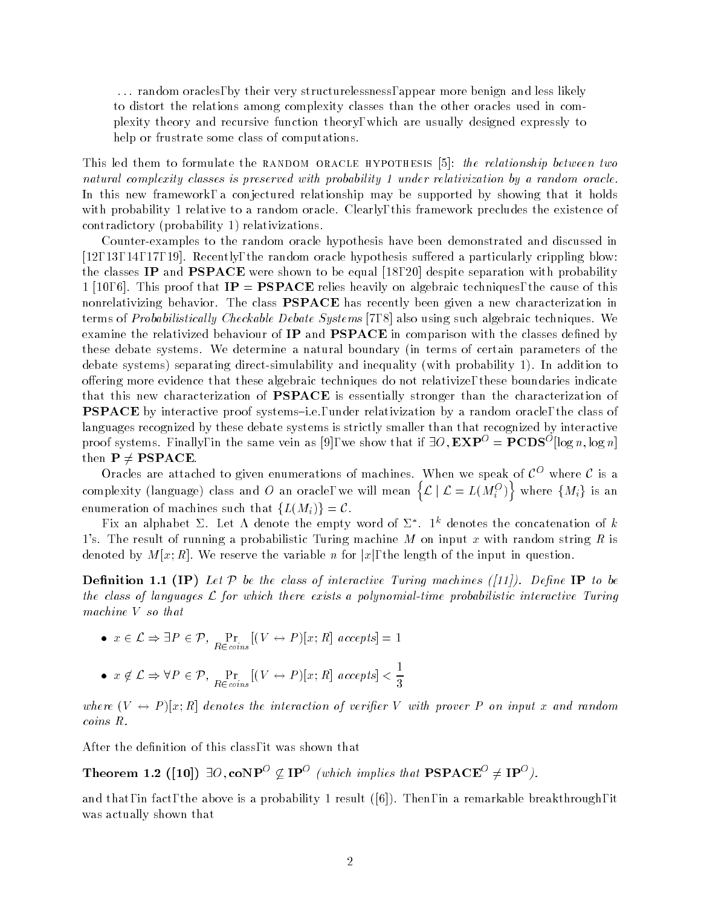... random oracles, by their very structurelessness, appear more benign and less likely to distort the relations among complexity classes than the other oracles used in complexity theory and recursive function theory, which are usually designed expressly to help or frustrate some class of computations.

This led them to formulate the RANDOM ORACLE HYPOTHESIS [5]: the relationship between two natural complexity classes is preserved with probability 1 under relativization by a random oracle. In this new framework, a conjectured relationship may be supported by showing that it holds with probability 1 relative to a random oracle. Clearly, this framework precludes the existence of contradictory (probability 1) relativizations.

Counter-examples to the random oracle hypothesis have been demonstrated and discussed in [12, 13, 14, 17, 19]. Recently, the random oracle hypothesis suffered a particularly crippling blow: the classes IP and PSPACE were shown to be equal [18, 20] despite separation with probability  $1\,[10, 6]$ . This proof that  $IP = PSPACE$  relies heavily on algebraic techniques, the cause of this nonrelativizing behavior. The class **PSPACE** has recently been given a new characterization in terms of Probabilistically Checkable Debate Systems [7, 8] also using such algebraic techniques. We examine the relativized behaviour of IP and PSPACE in comparison with the classes defined by these debate systems. We determine a natural boundary (in terms of certain parameters of the debate systems) separating direct-simulability and inequality (with probability 1). In addition to offering more evidence that these algebraic techniques do not relativize, these boundaries indicate that this new characterization of PSPACE is essentially stronger than the characterization of **PSPACE** by interactive proof systems-i.e., under relativization by a random oracle, the class of languages recognized by these debate systems is strictly smaller than that recognized by interactive proof systems. Finally, in the same vein as [9], we show that if  $\exists O, \mathbf{EXP}^O = \mathbf{PCDS}^O[\log n, \log n]$ then  $P \neq PSPACE$ .

Oracles are attached to given enumerations of machines. When we speak of  $\mathcal{C}^O$  where  $\mathcal C$  is a complexity (language) class and O an oracle, we will mean  $\left\{ \mathcal{L} \mid \mathcal{L} = L(M_i^O) \right\}$  where  $\{M_i\}$  is an enumeration of machines such that  $\{L(M_i)\} = \mathcal{C}$ .

Fix an alphabet  $\vartriangle$ . Let  $\Lambda$  denote the empty word of  $\vartriangle$  . It denotes the concatenation of  $\kappa$ 1's. The result of running a probabilistic Turing machine  $M$  on input  $x$  with random string  $R$  is denoted by  $M[x;R]$ . We reserve the variable n for  $|x|$ , the length of the input in question.

**Definition 1.1 (IP)** Let P be the class of interactive Turing machines ([11]). Define IP to be the class of languages  $\mathcal L$  for which there exists a polynomial-time probabilistic interactive Turing machine V so that

chine V so that<br>  $\bullet x \in \mathcal{L} \Rightarrow \exists P \in \mathcal{P}, \Pr_{R \in \text{cons}} [(V \leftrightarrow P)[x;R] \text{ accepts}] = 1$ •  $x \in \mathcal{L} \rightarrow H \subset P$ ,  $R \in \text{coins}[(V \leftrightarrow P)]x$ ,  $R$ ] accepts] = 1<br>•  $x \notin \mathcal{L} \Rightarrow \forall P \in \mathcal{P}$ . Pr  $[(V \leftrightarrow P)]x$ ; R accepts  $\langle \frac{1}{\sqrt{1-\rho^2}} \rangle$ 

 $\sim$  coins and coins are computed by  $\sim$ 

where  $(V \leftrightarrow P)[x;R]$  denotes the interaction of verifier V with prover P on input x and random coins R.

After the definition of this class, it was shown that

Theorem 1.2 ([10])  $\exists O, \text{coNP}^O \not\subseteq \text{IP}^O$  (which implies that  $\text{PSPACE}^O \neq \text{IP}^O$ ).

and that, in fact, the above is a probability 1 result  $([6])$ . Then, in a remarkable breakthrough, it was actually shown that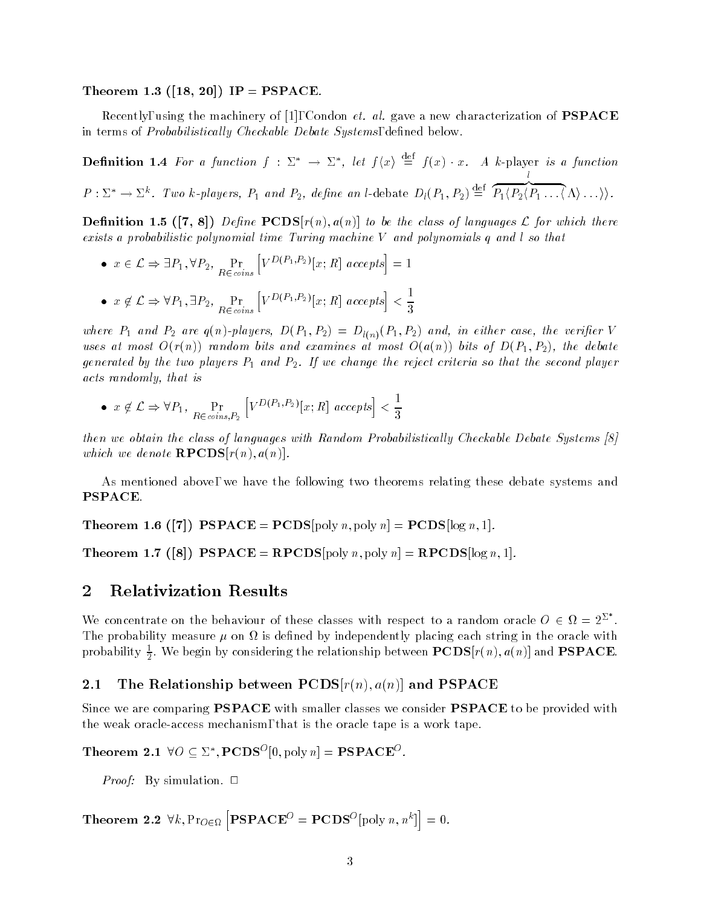#### Theorem 1.3 ([18, 20]) IP = PSPACE.

Recently, using the machinery of [1], Condon *et. al.* gave a new characterization of  $\mathbf{PSPACE}$ in terms of Probabilistically Checkable Debate Systems, defined below.

**Definition** 1.4 For a function  $f : \Sigma^* \to \Sigma^*$ , let  $f(x) \stackrel{\text{def}}{=} f(x) \cdot x$ . A k-player is a function  $P: \Sigma^* \to \Sigma^k$ . Two k-players,  $P_1$  and  $P_2$ , define an l-debate  $D_1(P_1, P_2) \stackrel{\text{def}}{=} P_1 \langle P_1 \rangle$  $\overbrace{P_1 \langle P_2 \langle P_1 \dots \langle \Lambda \rangle \dots \rangle}$ .

**Definition 1.5 ([7, 8])** Define  $PCDS[r(n), a(n)]$  to be the class of languages L for which there exists a probabilistic polynomial time Turing machine  $V$  and polynomials q and l so that

\n- \n
$$
x \in \mathcal{L} \Rightarrow \exists P_1, \forall P_2, \Pr_{R \in \text{coins}} \left[ V^{D(P_1, P_2)}[x; R] \right] \text{ accepts} = 1
$$
\n
\n- \n
$$
x \notin \mathcal{L} \Rightarrow \forall P_1, \exists P_2, \Pr_{R \in \text{coins}} \left[ V^{D(P_1, P_2)}[x; R] \right] \text{ accepts} \right] < \frac{1}{3}
$$
\n
\n

where  $P_1$  and  $P_2$  are  $q(n)$ -players,  $D(P_1, P_2) = D_{l(n)}(P_1, P_2)$  and, in either case, the verifier V uses at most  $O(r(n))$  random bits and examines at most  $O(a(n))$  bits of  $D(P_1, P_2)$ , the debate generated by the two players  $P_1$  and  $P_2$ . If we change the reject criteria so that the second player acts randomly, that is a contribution of the contribution of  $\mathcal{A}$ 

$$
s\ randomly, that is
$$
\n
$$
\bullet \ x \notin \mathcal{L} \Rightarrow \forall P_1, \Pr_{R \in \text{coins}, P_2} \left[ V^{D(P_1, P_2)}[x; R] \text{ accepts} \right] < \frac{1}{3}
$$

then we obtain the class of languages with Random Probabilistically Checkable Debate Systems  $\vert \mathcal{S} \vert$ which we denote  $\mathbb{R} \text{PCDS}[r(n), a(n)]$ .

As mentioned above, we have the following two theorems relating these debate systems and PSPACE.

**Theorem 1.6 ([7]) PSPACE = PCDS**[poly n, poly n] =  $PCDS[\log n, 1]$ .

**Theorem 1.7** ([8]) **PSPACE** = **RPCDS**[poly n, poly n] = **RPCDS**[log n, 1].

# 2 Relativization Results

We concentrate on the behaviour of these classes with respect to a random oracle  $O \in \Omega = 2^{2^{\star}}$ . . The probability measure is defined by independently placing in the oracle with  $\alpha$ probability  $\frac{1}{2}$ . We begin by considering the relationship between  $\mathbf{PUDS}[r(n), a(n)]$  and  $\mathbf{PSPACE}$ .

### 2.1 The Relationship between  $PCDS[r(n), a(n)]$  and  $PSPACE$

Since we are comparing **PSPACE** with smaller classes we consider **PSPACE** to be provided with the weak oracle-access mechanism, that is the oracle tape is a work tape.

Theorem 2.1  $\forall O \subseteq \Sigma^*, \textbf{PCDS}^O[0,\text{poly }n] = \textbf{PSPACE}^O$  .

*Proof:* By simulation.  $\Box$ 

Theorem 2.2  $\forall k, \text{Pro}_{\in \Omega}$   $\left[\mathbf{PSPACE}^O = \mathbf{PCDS}^O[\text{poly }n,n^k]\right] = 0.$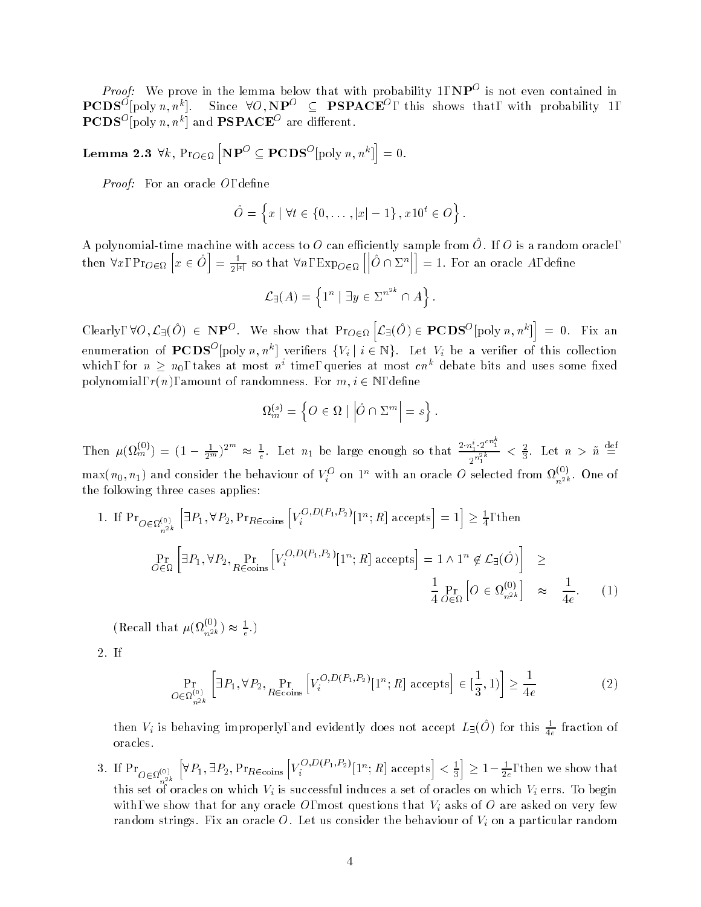*Proof:* We prove in the lemma below that with probability 1,  $NP<sup>O</sup>$  is not even contained in **PCDS**<sup>*O*</sup>[poly n, n<sup>k</sup>]. Since  $\forall O, NP^O \subseteq PSPACE^O$ , this shows that, with probability 1, **PUDS** (poly  $n, n$ ) and **PSPAUL** are different.

Lemma 2.3  $\forall k,$   $\Pr_{O \in \Omega} \left[ \mathbf{NP}^O \subseteq \mathbf{PCDS}^O[\text{poly }n,n^k] \right] = 0.$ 

*Proof:* For an oracle  $O$ , define

define  
\n
$$
\hat{O} = \left\{ x \mid \forall t \in \{0, \dots, |x| - 1\}, x10^t \in O \right\}.
$$

A polynomial-time machine with access to O can efficiently sample from  $\hat{O}$ . If O is a random oracle, then  $\forall x, \Pr_{O \in \Omega} [x \in \hat{O}] = \frac{1}{2^{|x|}}$  so that  $\forall n, \operatorname{Exp}_{O \in \Omega} [ \hat{O}]$  $\rho \in \Omega$   $[|\hat{O} \cap \Sigma^n|] = 1$ . For an oracle A, define<br>  $|\exists y \in \Sigma^{n^{2k}} \cap A\}$ .

$$
\mathcal{L}_{\exists}(A) = \left\{ 1^n \mid \exists y \in \Sigma^{n^{2k}} \cap A \right\}.
$$

Clearly,  $\forall O, \mathcal{L}_{\exists}(\hat{O}) \in \mathbf{NP}^O$ . We show that  $\Pr_{O \in \Omega} [\mathcal{L}_{\exists}(\hat{O}) \in \mathbf{PCDS}^O[\text{poly }n, n^k]] = 0$ . Fix an enumeration of  $\mathbf{PCDS}^{O}[\text{poly }n, n^k]$  verifiers  $\{V_i \mid i \in \mathbb{N}\}\$ . Let  $V_i$  be a verifier of this collection which, for  $n \geq n_0$ , takes at most  $n^i$  time, queries at most  $cn^k$  debate bits and uses some fixed polynomial,  $r(n)$ , amount of randomness. For  $m, i \in \mathbb{N}$ , define

$$
\Omega_m^{(s)} = \left\{ O \in \Omega \mid \left| \hat{O} \cap \Sigma^m \right| = s \right\}.
$$

Then  $\mu(\Omega_m^{(0)}) = (1 - \frac{1}{2^m})^{2^m} \approx \frac{1}{e}$ . Let  $n_1$  be large enough so that  $\frac{2 \cdot n_1^1 \cdot 2^{cn_1}}{n_1^{2k}}$  $\frac{1}{2^{n_1^{2k}}} < \frac{2}{3}$ . Let  $n > n \equiv$  $\max(n_0, n_1)$  and consider the behaviour of  $V_i^{\omega}$  on  $1^n$  with an oracle O selected from  $\Omega_{n^{2k}}^{\omega}$ . One of the following three cases applies:

1. If 
$$
Pr_{O \in \Omega_{n^{2k}}^{(0)}} \left[ \exists P_1, \forall P_2, Pr_{R \in \text{coins}} \left[ V_i^{O,D(P_1, P_2)} [1^n; R] \right] \right] \ge \frac{1}{4}
$$
, then  
\n
$$
\Pr_{O \in \Omega} \left[ \exists P_1, \forall P_2, \Pr_{R \in \text{coins}} \left[ V_i^{O,D(P_1, P_2)} [1^n; R] \right] \right] = 1 \land 1^n \notin \mathcal{L}_{\exists}(\hat{O}) \right] \ge \frac{1}{4} \Pr_{O \in \Omega} \left[ O \in \Omega_{n^{2k}}^{(0)} \right] \approx \frac{1}{4e}. \quad (1)
$$

(Recall that  $\mu(\Omega_{n^{2k}}^{(0)}) \approx \frac{1}{e}$ .)

2. If

$$
\Pr_{O \in \Omega_{n^{2k}}^{(0)}} \left[ \exists P_1, \forall P_2, \Pr_{R \in \text{coins}} \left[ V_i^{O, D(P_1, P_2)} [1^n; R] \text{ accepts} \right] \in [\frac{1}{3}, 1) \right] \ge \frac{1}{4e} \tag{2}
$$

then  $V_i$  is behaving improperly, and evidently does not accept  $L_{\exists}(O)$  for this  $\frac{1}{4e}$  fraction of oracles.

 $\left[3\colon \mathop{\rm If}\nolimits\Pr_{O\in\Omega_{n^{2k}}}|\forall P_1,\exists P_2,\mathop{\rm Pr}\nolimits_{R\in\operatorname{coins}}\left[V_i^{O,D(P_1,P_2)}[1^n;R]\:{\rm accepts}\right]<\frac{1}{3}\right]\geq 0.$  $\left| \right. \geq 1 - \frac{1}{2e}$ , then we show that this set of oracles on which  $V_i$  is successful induces a set of oracles on which  $V_i$  errs. To begin with, we show that for any oracle O, most questions that  $V_i$  asks of O are asked on very few random strings. Fix an oracle O. Let us consider the behaviour of  $V_i$  on a particular random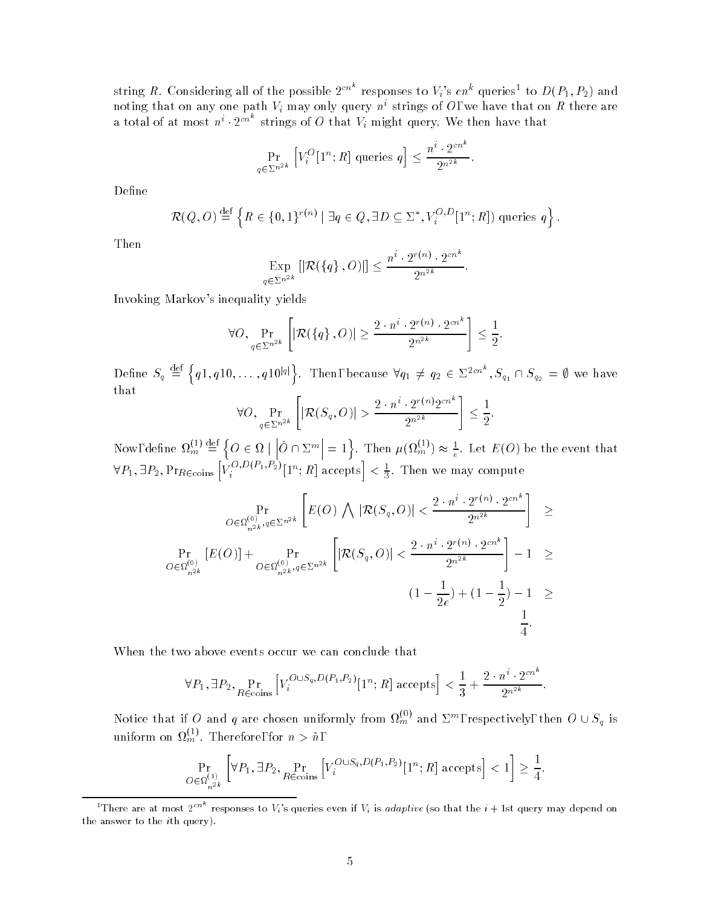string R. Considering all of the possible  $2^{cn^k}$  responses to  $V_i$ 's  $cn^k$  queries<sup>1</sup> to  $D(P_1, P_2)$  and noting that on any one path  $V_i$  may only query  $n^i$  strings of  $O$ , we have that on  $R$  there are a total of at most  $n^i \tcdot 2^{cn^k}$  strings of O that  $V_i$  might query. We then have that

$$
\Pr_{q \in \Sigma^{n^{2k}}} \left[ V_i^O[1^n; R] \text{ queries } q \right] \le \frac{n^i \cdot 2^{cn^k}}{2^{n^{2k}}}.
$$

Define

$$
\mathcal{R}(Q, O) \stackrel{\text{def}}{=} \left\{ R \in \{0, 1\}^{r(n)} \mid \exists q \in Q, \exists D \subseteq \Sigma^*, V_i^{O, D}[1^n; R] \right\} \text{ queries } q \right\}.
$$

Then

$$
\mathop{\rm Exp}_{q\in\Sigma^{n^{2k}}}\left[|\mathcal{R}(\lbrace q \rbrace, O)|\right] \leq \frac{n^i \cdot 2^{r(n)} \cdot 2^{cn^k}}{2^{n^{2k}}}.
$$

Invoking Markov's inequality yields

$$
\forall O, \Pr_{q \in \Sigma^{n^{2k}}} \left[ |\mathcal{R}(\{q\}, O)| \ge \frac{2 \cdot n^i \cdot 2^{r(n)} \cdot 2^{cn^k}}{2^{n^{2k}}} \right] \le \frac{1}{2}
$$

Define  $S_q \equiv \{q1,$  ${q_1, q_{10}, \ldots, q_{10}|q|}$ . Then, because  $\forall q_1 \neq q_2 \in \Sigma^{2cn^k}, S_{q_1} \cap S_{q_2} = \emptyset$  we have that " #

$$
\forall O, \Pr_{q \in \Sigma^{n^{2k}}} \left[ |\mathcal{R}(S_q, O)| > \frac{2 \cdot n^i \cdot 2^{r(n)} 2^{cn^k}}{2^{n^{2k}}} \right] \leq \frac{1}{2}.
$$

Now, define  $\Omega_m^{(1)} \stackrel{\text{def}}{=} \left\{ O \in \Omega \mid \left| \hat{O} \cap \Sigma^m \right| = 1 \right\}$ . Then  $\mu(\Omega_m^{(1)}) \approx \frac{1}{e}$ . Let  $E(O)$  be the event that  $\forall P_1, \exists P_2, \text{Pr}_{R \in \text{coins}} \left[ V_i^{O, D(P_1, P_2)} \right[ 1^n; R \right]$  accepts  $\left| \langle \frac{1}{3} \rangle \right.$  Then we may c

$$
\Pr_{O \in \Omega_{n^{2k}}^{(0)}, q \in \Sigma^{n^{2k}}} \left[ E(O) \bigwedge |\mathcal{R}(S_q, O)| < \frac{2 \cdot n^i \cdot 2^{r(n)} \cdot 2^{cn^k}}{2^{n^{2k}}} \right] \ge
$$
\n
$$
\Pr_{O \in \Omega_{n^{2k}}^{(0)}} \left[ E(O) \right] + \Pr_{O \in \Omega_{n^{2k}}^{(0)}, q \in \Sigma^{n^{2k}}} \left[ |\mathcal{R}(S_q, O)| < \frac{2 \cdot n^i \cdot 2^{r(n)} \cdot 2^{cn^k}}{2^{n^{2k}}} \right] - 1 \ge
$$
\n
$$
(1 - \frac{1}{2e}) + (1 - \frac{1}{2}) - 1 \ge
$$
\n
$$
\frac{1}{4}.
$$

When the two above events occur we can conclude that

$$
\forall P_1, \exists P_2, \Pr_{R \in \text{coins}} \left[ V_i^{O \cup S_q, D(P_1, P_2)}[1^n; R] \text{ accepts} \right] < \frac{1}{3} + \frac{2 \cdot n^i \cdot 2^{cn^k}}{2^{n^{2k}}}.
$$

Notice that if O and q are chosen uniformly from  $\Omega_m^{(0)}$  and  $\Sigma^m$ , respectively, then  $O \cup S_q$  is uniform on  $\Omega_m^{\cdot \cdot}$ . Therefore, for  $n > n$ ,

$$
\Pr_{O \in \Omega_{n^{2k}}^{(1)}} \left[ \forall P_1, \exists P_2, \Pr_{R \in \text{coins}} \left[ V_i^{O \cup S_q, D(P_1, P_2)} [1^n; R] \text{ accepts} \right] < 1 \right] \ge \frac{1}{4}
$$

There are at most 2<sup>cn</sup> responses to  $V_i$ 's queries even if  $V_i$  is *adaptive* (so that the  $i + 1$ st query may depend on the answer to the ith query).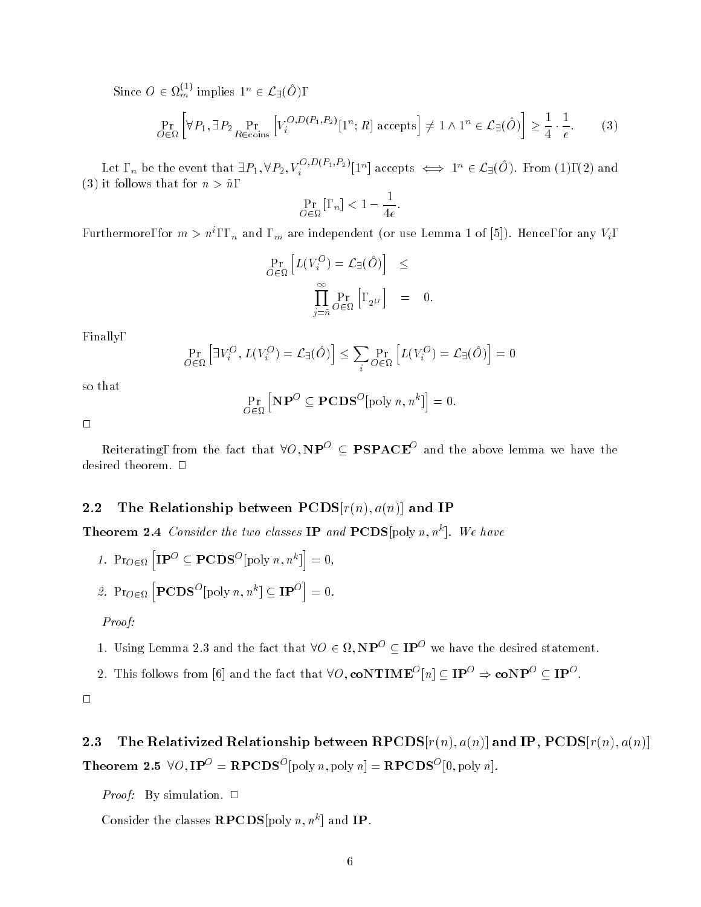Since  $O \in \Omega_m^{(1)}$  implies  $1^n \in \mathcal{L}_{\exists}(\hat{O}),$ 

$$
\in \Omega_m^{\mathcal{D}} \text{ implies } \Gamma^{\kappa} \in \mathcal{L}_{\exists}(O),
$$
\n
$$
\Pr_{O \in \Omega} \left[ \forall P_1, \exists P_2 \Pr_{R \in \text{coins}} \left[ V_i^{O, D(P_1, P_2)} [1^n; R] \text{ accepts} \right] \neq 1 \land 1^n \in \mathcal{L}_{\exists}(\hat{O}) \right] \ge \frac{1}{4} \cdot \frac{1}{e}. \tag{3}
$$

Let n be the event that 9P1; 8P2; V O;D(P1;P2 ) i [1<sup>n</sup> ] accepts () 1<sup>n</sup> <sup>2</sup> L9(O^). From (1), (2) and (3) it follows that for  $n > \tilde{n}$ .

$$
\Pr_{O \in \Omega} [t, n] < 1 - \frac{1}{4e}.
$$

Furthermore, for  $m>n^i$ ,  $n_i$  and  $n_i$  are independent (or use Lemma 1 of [5]). Hence, for any  $V_i$ ,

$$
\Pr_{O \in \Omega} \left[ L(V_i^O) = \mathcal{L}_{\exists}(\hat{O}) \right] \le
$$

$$
\prod_{j=\tilde{n}}^{\infty} \Pr_{O \in \Omega} \left[ , _{2^{j^j}} \right] = 0.
$$

Finally,

$$
\Pr_{O\in\Omega}\left[\exists V^O_i,L(V^O_i)=\mathcal{L}_\exists(\hat{O})\right]\leq\sum_i\Pr_{O\in\Omega}\left[L(V^O_i)=\mathcal{L}_\exists(\hat{O})\right]=0
$$

so that

$$
\Pr_{O \in \Omega} [\mathbf{NP}^O \subseteq \mathbf{PCDS}^O[\text{poly }n, n^k]] = 0.
$$

 $\Box$ 

Reiterating, from the fact that  $\forall O, NP^{O} \subseteq PSPACE^{O}$  and the above lemma we have the desired theorem.  $\square$ 

## 2.2 The Relationship between  $PCDS[r(n), a(n)]$  and IP

**THEOREM 2.4** Consider the two classes **IP** and  $\mathbf{F} \cup \mathbf{D}$ S[poly n, n | | we have

1. Pro2000 -- $\left[\mathbf{IP}^{\scriptscriptstyle O}\subset \mathbf{PCDS}^{\scriptscriptstyle O}[\text{poly }n,n^k]\right]=0,$ 2.  $\Pr_{O \in \Omega} [\text{PCDS}^O[\text{poly }n, n^k] \subseteq \text{IP}^O] = 0$ 

Proof:

- 1. Using Lemma 2.3 and the fact that  $\forall O \in \Omega$ ,  $NP^O \subseteq IP^O$  we have the desired statement.
- 2. This follows from [6] and the fact that  $\forall O, \text{coNTIME}^{\{\}n} \subseteq \text{IP}^{\{\}O} \Rightarrow \text{coNP}^{\{\}O} \subseteq \text{IP}^{\{O}}.$

 $\Box$ 

2.3 The Relativized Relationship between  $\text{RPCDS}[r(n), a(n)]$  and  $\text{IP}, \text{PCDS}[r(n), a(n)]$ Theorem 2.5  $\forall O, IP^O = \textbf{RPCDS}^O[\text{poly }n, \text{poly }n] = \textbf{RPCDS}^O[0, \text{poly }n]$ .

*Proof:* By simulation.  $\Box$ 

Consider the classes  $\mathbf{R}\mathbf{F}\mathbf{C}\mathbf{D}\mathbf{S}$  poly  $n,n$  and  $\mathbf{H}\mathbf{F}$ .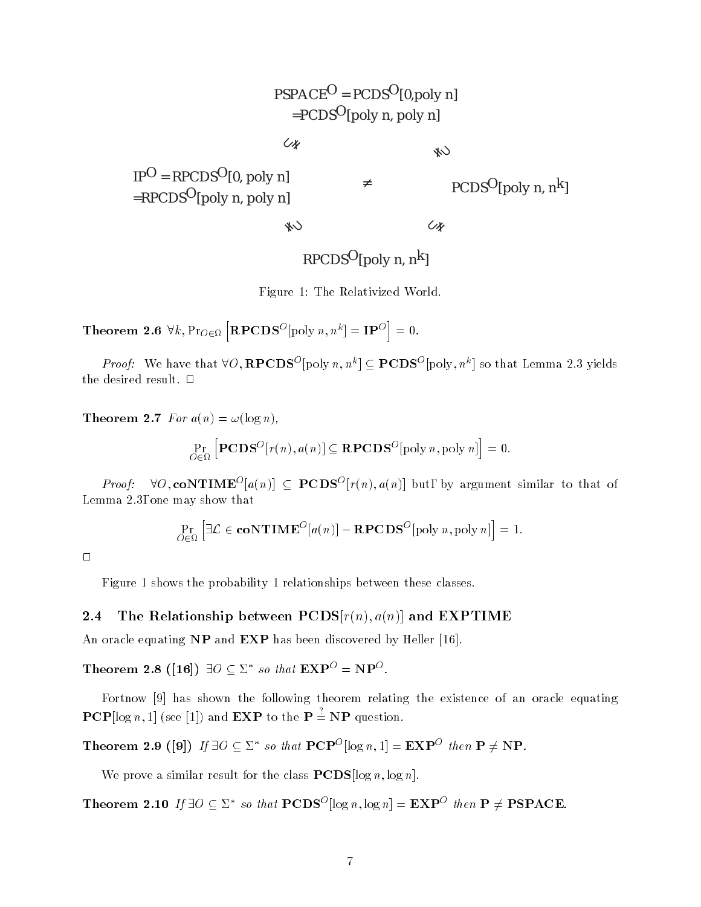

 $RPCDS^{O}$ [poly n, n<sup>k</sup>]

Figure 1: The Relativized World.

Theorem 2.6  $\forall k, \text{Pro}_{\in \Omega}$   $\left[\mathbf{RPCDS}^O[\text{poly }n, n^k] = \mathbf{IP}^O\right] = 0$ 

*Proof:* We have that  $\forall O, \mathbf{RPCDS}^O[\text{poly } n, n^k] \subseteq \mathbf{PCDS}^O[\text{poly } n^k]$  so that Lemma 2.3 yields the desired result.  $\Box$ 

Theorem 2.7 For  $a(n) = \omega(\log n)$ ,

 $\Pr[\left[\text{PCDS}^{O}[r(n), a(n)] \subseteq \text{RPCDS}^{O}[\text{poly }n, \text{poly }n]\right] = 0.$  $-$ 

*Proof:*  $\forall O$ , **coNTIME**<sup>*O*</sup>[ $a(n)$ ]  $\subseteq$  **PCDS**<sup>*O*</sup>[ $r(n)$ ,  $a(n)$ ] but, by argument similar to that of  $\mathcal{L}$  . The contract of the contract of the contract of the contract of the contract of the contract of the contract of the contract of the contract of the contract of the contract of the contract of the contract of th show that<br>r

$$
\Pr_{O \in \Omega} \left[ \exists \mathcal{L} \in \mathbf{coNTIME}^O[a(n)] - \mathbf{RPCDS}^O[\text{poly }n, \text{poly }n] \right] = 1.
$$

 $\Box$ 

Figure 1 shows the probability 1 relationships between these classes.

### 2.4 The Relationship between  $PCDS[r(n), a(n)]$  and  $EXPTIME$

An oracle equating NP and EXP has been discovered by Heller [16].

Theorem 2.8 ([16])  $\exists O \subseteq \Sigma^*$  so that  $\text{EXP}^O = \text{NP}^O$ .

Fortnow [9] has shown the following theorem relating the existence of an oracle equating **PCP**[log n, 1] (see [1]) and **EXP** to the **P**  $\frac{?}{=}$  **NP** question.

**Theorem 2.9 ([9])** If  $\exists O \subseteq \Sigma^*$  so that  $\mathbf{PCP}^O[\log n, 1] = \mathbf{EXP}^O$  then  $\mathbf{P} \neq \mathbf{NP}$ .

We prove a similar result for the class  $\mathbf{PCDS}[\log n, \log n]$ .

Theorem 2.10 If  $\exists O \subseteq \Sigma^*$  so that  $\text{PCDS}^O[\log n, \log n] = \text{EXP}^O$  then  $\textbf{P} \neq \text{PSPACE}$ .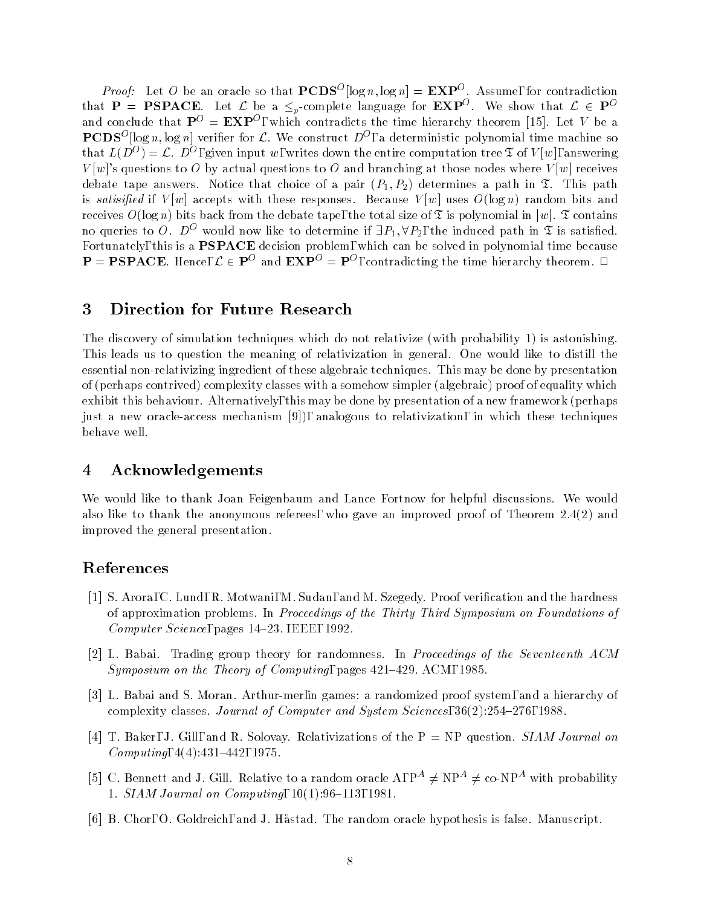*Proof:* Let O be an oracle so that  $PCDS$   $log n, log n = L\Lambda P$ . Assume, for contradiction that **P** = **PSPACE**. Let  $\mathcal{L}$  be a  $\leq_p$ -complete language for  $\mathbf{EXP}^O$ . We show that  $\mathcal{L} \in \mathbf{P}^O$ Assume, for contradiction<br>We show that  $\mathcal{L} \in \mathbf{P}^O$ and conclude that  $\mathbf{P}^+ = \mathbf{E} \mathbf{\Lambda} \mathbf{P}^+$ , which contradicts the time hierarchy theorem [15]. Let V be a **PCDS**<sup>O</sup>[log n, log n] verifier for L. We construct  $D^{O}$ , a deterministic polynomial time machine so that  $L(D^{\mathcal{O}}) = \mathcal{L}$ .  $D^{\mathcal{O}}$ , given input w, writes down the entire computation tree  $\mathfrak{T}$  of  $V[w]$ , answering  $V[w]$ 's questions to O by actual questions to O and branching at those nodes where  $V[w]$  receives debate tape answers. Notice that choice of a pair  $(P_1, P_2)$  determines a path in  $\mathfrak{T}$ . This path is satisified if  $V[w]$  accepts with these responses. Because  $V[w]$  uses  $O(\log n)$  random bits and receives  $O(\log n)$  bits back from the debate tape, the total size of  $\mathfrak T$  is polynomial in  $|w|$ .  $\mathfrak T$  contains no queries to O.  $D^O$  would now like to determine if  $\exists P_1, \forall P_2$ , the induced path in  $\mathfrak T$  is satisfied. Fortunately, this is a PSPACE decision problem, which can be solved in polynomial time because no queries to  $O$ .  $D^O$  would now lik<br>Fortunately, this is a  $\mathbf{PSPACE}$  deci<br> $\mathbf{P} = \mathbf{PSPACE}$ . Hence,  $\mathcal{L} \in \mathbf{P}^O$  and and  $\mathbf{LAP}^{\perp} = \mathbf{P}^{\perp}$ , contradicting the time merarchy theorem.  $\Box$ 

#### 3 Direction for Future Research

The discovery of simulation techniques which do not relativize (with probability 1) is astonishing. This leads us to question the meaning of relativization in general. One would like to distill the essential non-relativizing ingredient of these algebraic techniques. This may be done by presentation of (perhaps contrived) complexity classes with a somehow simpler (algebraic) proof of equality which exhibit this behaviour. Alternatively, this may be done by presentation of a new framework (perhaps just a new oracle-access mechanism [9]), analogous to relativization, in which these techniques behave well.

# 4 Acknowledgements

We would like to thank Joan Feigenbaum and Lance Fortnow for helpful discussions. We would also like to thank the anonymous referees, who gave an improved proof of Theorem 2.4(2) and improved the general presentation.

# References

- [1] S. Arora, C. Lund, R. Motwani, M. Sudan, and M. Szegedy. Proof verication and the hardness of approximation problems. In Proceedings of the Thirty Third Symposium on Foundations of  $Computer Science, pages 14–23. IEEE, 1992.$
- [2] L. Babai. Trading group theory for randomness. In Proceedings of the Seventeenth ACM Symposium on the Theory of Computing, pages  $421–429$ . ACM, 1985.
- [3] L. Babai and S. Moran. Arthur-merlin games: a randomized proof system, and a hierarchy of complexity classes. Journal of Computer and System Sciences,  $36(2):254{-}276$ , 1988.
- [4] T. Baker, J. Gill, and R. Solovay. Relativizations of the P = NP question. SIAM Journal on  $Computing, 4(4):431–442, 1975.$
- [5] C. Bennett and J. Gill. Relative to a random oracle A,  $P^A \neq NP^A \neq$  co-NP<sup>A</sup> with probability 1. SIAM Journal on Computing,  $10(1):96-113, 1981$ .
- [6] B. Chor, O. Goldreich, and J. Hastad. The random oracle hypothesis is false. Manuscript.